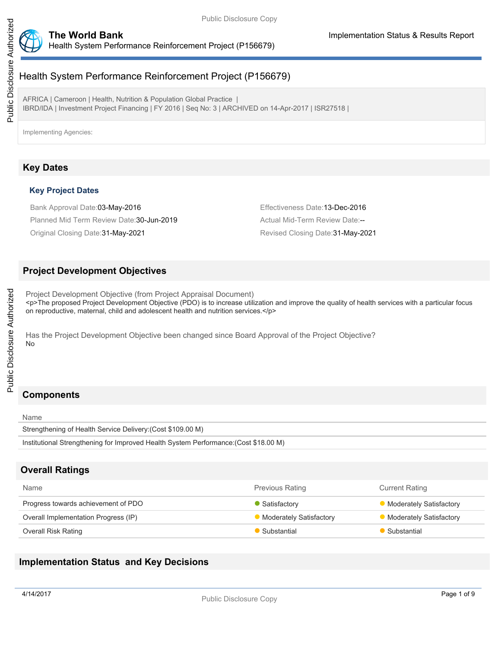



# Health System Performance Reinforcement Project (P156679)

AFRICA | Cameroon | Health, Nutrition & Population Global Practice | IBRD/IDA | Investment Project Financing | FY 2016 | Seq No: 3 | ARCHIVED on 14-Apr-2017 | ISR27518 |

Implementing Agencies:

## **Key Dates**

### **Key Project Dates**

Bank Approval Date:03-May-2016 **Effectiveness Date:13-Dec-2016** Effectiveness Date:13-Dec-2016

Planned Mid Term Review Date: 30-Jun-2019 Manuel Actual Mid-Term Review Date:--Original Closing Date:31-May-2021 Revised Closing Date:31-May-2021

## **Project Development Objectives**

Project Development Objective (from Project Appraisal Document) <p>The proposed Project Development Objective (PDO) is to increase utilization and improve the quality of health services with a particular focus on reproductive, maternal, child and adolescent health and nutrition services.</p>

Has the Project Development Objective been changed since Board Approval of the Project Objective? No

# **Components**

Public Disclosure Authorized

Public Disclosure Authorized

Name Strengthening of Health Service Delivery:(Cost \$109.00 M) Institutional Strengthening for Improved Health System Performance:(Cost \$18.00 M)

## **Overall Ratings**

| <b>Name</b>                          | <b>Previous Rating</b>  | <b>Current Rating</b>          |
|--------------------------------------|-------------------------|--------------------------------|
| Progress towards achievement of PDO  | Satisfactory            | <b>Moderately Satisfactory</b> |
| Overall Implementation Progress (IP) | Moderately Satisfactory | Moderately Satisfactory        |
| Overall Risk Rating                  | Substantial             | Substantial                    |

## **Implementation Status and Key Decisions**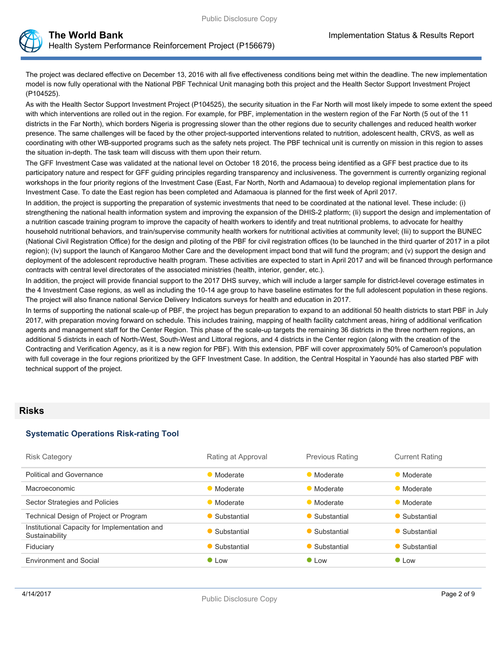The project was declared effective on December 13, 2016 with all five effectiveness conditions being met within the deadline. The new implementation model is now fully operational with the National PBF Technical Unit managing both this project and the Health Sector Support Investment Project (P104525).

As with the Health Sector Support Investment Project (P104525), the security situation in the Far North will most likely impede to some extent the speed with which interventions are rolled out in the region. For example, for PBF, implementation in the western region of the Far North (5 out of the 11 districts in the Far North), which borders Nigeria is progressing slower than the other regions due to security challenges and reduced health worker presence. The same challenges will be faced by the other project-supported interventions related to nutrition, adolescent health, CRVS, as well as coordinating with other WB-supported programs such as the safety nets project. The PBF technical unit is currently on mission in this region to asses the situation in-depth. The task team will discuss with them upon their return.

The GFF Investment Case was validated at the national level on October 18 2016, the process being identified as a GFF best practice due to its participatory nature and respect for GFF guiding principles regarding transparency and inclusiveness. The government is currently organizing regional workshops in the four priority regions of the Investment Case (East, Far North, North and Adamaoua) to develop regional implementation plans for Investment Case. To date the East region has been completed and Adamaoua is planned for the first week of April 2017.

In addition, the project is supporting the preparation of systemic investments that need to be coordinated at the national level. These include: (i) strengthening the national health information system and improving the expansion of the DHIS-2 platform; (Ii) support the design and implementation of a nutrition cascade training program to improve the capacity of health workers to identify and treat nutritional problems, to advocate for healthy household nutritional behaviors, and train/supervise community health workers for nutritional activities at community level; (Iii) to support the BUNEC (National Civil Registration Office) for the design and piloting of the PBF for civil registration offices (to be launched in the third quarter of 2017 in a pilot region); (Iv) support the launch of Kangaroo Mother Care and the development impact bond that will fund the program; and (v) support the design and deployment of the adolescent reproductive health program. These activities are expected to start in April 2017 and will be financed through performance contracts with central level directorates of the associated ministries (health, interior, gender, etc.).

In addition, the project will provide financial support to the 2017 DHS survey, which will include a larger sample for district-level coverage estimates in the 4 Investment Case regions, as well as including the 10-14 age group to have baseline estimates for the full adolescent population in these regions. The project will also finance national Service Delivery Indicators surveys for health and education in 2017.

In terms of supporting the national scale-up of PBF, the project has begun preparation to expand to an additional 50 health districts to start PBF in July 2017, with preparation moving forward on schedule. This includes training, mapping of health facility catchment areas, hiring of additional verification agents and management staff for the Center Region. This phase of the scale-up targets the remaining 36 districts in the three northern regions, an additional 5 districts in each of North-West, South-West and Littoral regions, and 4 districts in the Center region (along with the creation of the Contracting and Verification Agency, as it is a new region for PBF). With this extension, PBF will cover approximately 50% of Cameroon's population with full coverage in the four regions prioritized by the GFF Investment Case. In addition, the Central Hospital in Yaoundé has also started PBF with technical support of the project.

## **Risks**

#### **Systematic Operations Risk-rating Tool**

| <b>Risk Category</b>                                            | Rating at Approval    | <b>Previous Rating</b> | <b>Current Rating</b> |
|-----------------------------------------------------------------|-----------------------|------------------------|-----------------------|
| Political and Governance                                        | • Moderate            | • Moderate             | • Moderate            |
| Macroeconomic                                                   | • Moderate            | • Moderate             | • Moderate            |
| Sector Strategies and Policies                                  | • Moderate            | • Moderate             | • Moderate            |
| Technical Design of Project or Program                          | $\bullet$ Substantial | • Substantial          | • Substantial         |
| Institutional Capacity for Implementation and<br>Sustainability | $\bullet$ Substantial | $\bullet$ Substantial  | • Substantial         |
| Fiduciary                                                       | • Substantial         | • Substantial          | • Substantial         |
| <b>Environment and Social</b>                                   | $\bullet$ Low         | $\bullet$ Low          | $\bullet$ Low         |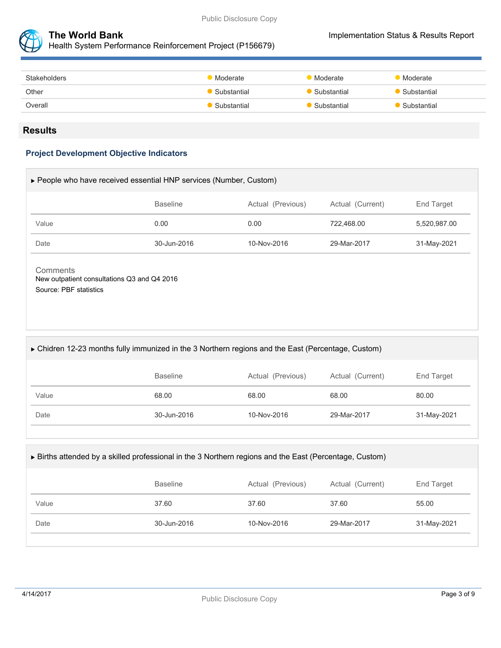



Health System Performance Reinforcement Project (P156679)

| Stakeholders | Moderate      | Moderate      | Moderate    |
|--------------|---------------|---------------|-------------|
| Other        | • Substantial | • Substantial | Substantial |
| Overall      | • Substantial | • Substantial | Substantial |
|              |               |               |             |

#### **Results**

#### **Project Development Objective Indicators**

| ► People who have received essential HNP services (Number, Custom) |                 |                   |                  |              |  |
|--------------------------------------------------------------------|-----------------|-------------------|------------------|--------------|--|
|                                                                    | <b>Baseline</b> | Actual (Previous) | Actual (Current) | End Target   |  |
| Value                                                              | 0.00            | 0.00              | 722.468.00       | 5,520,987.00 |  |
| Date                                                               | 30-Jun-2016     | 10-Nov-2016       | 29-Mar-2017      | 31-May-2021  |  |
|                                                                    |                 |                   |                  |              |  |

**Comments** New outpatient consultations Q3 and Q4 2016 Source: PBF statistics

#### Chidren 12-23 months fully immunized in the 3 Northern regions and the East (Percentage, Custom)

|       | <b>Baseline</b> | Actual (Previous) | Actual (Current) | End Target  |
|-------|-----------------|-------------------|------------------|-------------|
| Value | 68.00           | 68.00             | 68.00            | 80.00       |
| Date  | 30-Jun-2016     | 10-Nov-2016       | 29-Mar-2017      | 31-May-2021 |

#### Births attended by a skilled professional in the 3 Northern regions and the East (Percentage, Custom)

|       | <b>Baseline</b> | Actual (Previous) | Actual (Current) | End Target  |
|-------|-----------------|-------------------|------------------|-------------|
| Value | 37.60           | 37.60             | 37.60            | 55.00       |
| Date  | 30-Jun-2016     | 10-Nov-2016       | 29-Mar-2017      | 31-May-2021 |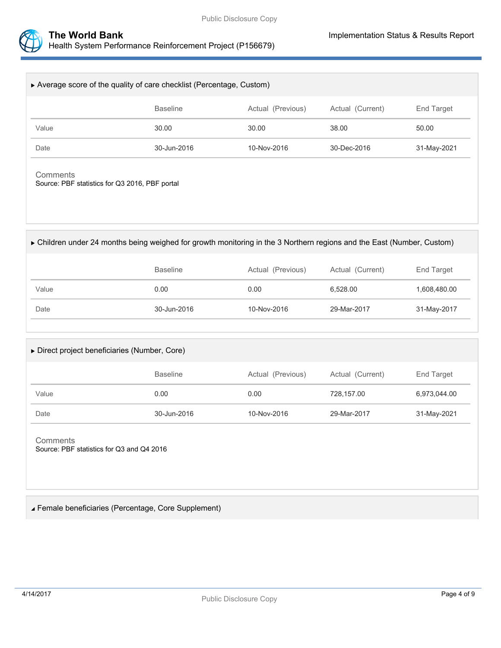

| Average score of the quality of care checklist (Percentage, Custom) |                 |                   |                  |             |  |
|---------------------------------------------------------------------|-----------------|-------------------|------------------|-------------|--|
|                                                                     | <b>Baseline</b> | Actual (Previous) | Actual (Current) | End Target  |  |
| Value                                                               | 30.00           | 30.00             | 38.00            | 50.00       |  |
| Date                                                                | 30-Jun-2016     | 10-Nov-2016       | 30-Dec-2016      | 31-May-2021 |  |
| Comments<br>Source: PBF statistics for Q3 2016, PBF portal          |                 |                   |                  |             |  |

Children under 24 months being weighed for growth monitoring in the 3 Northern regions and the East (Number, Custom)

|       | <b>Baseline</b> | Actual (Previous) | Actual (Current) | End Target   |
|-------|-----------------|-------------------|------------------|--------------|
| Value | 0.00            | 0.00              | 6.528.00         | 1,608,480.00 |
| Date  | 30-Jun-2016     | 10-Nov-2016       | 29-Mar-2017      | 31-May-2017  |

| $\triangleright$ Direct project beneficiaries (Number, Core) |                 |                   |                  |              |  |
|--------------------------------------------------------------|-----------------|-------------------|------------------|--------------|--|
|                                                              | <b>Baseline</b> | Actual (Previous) | Actual (Current) | End Target   |  |
| Value                                                        | 0.00            | 0.00              | 728.157.00       | 6,973,044.00 |  |
| Date                                                         | 30-Jun-2016     | 10-Nov-2016       | 29-Mar-2017      | 31-May-2021  |  |

**Comments** Source: PBF statistics for Q3 and Q4 2016

Female beneficiaries (Percentage, Core Supplement)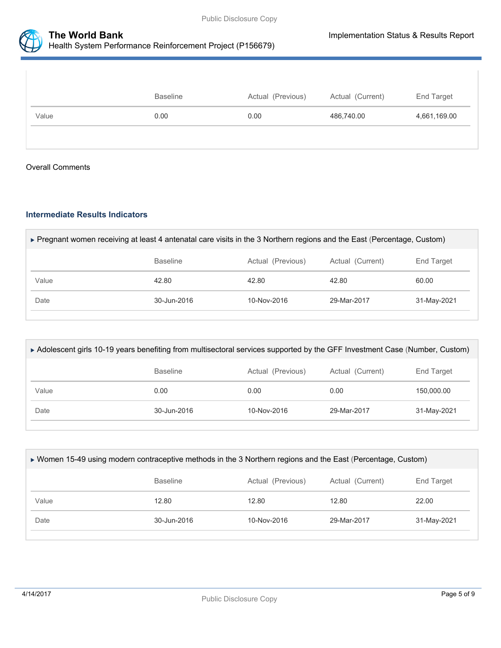

|       | <b>Baseline</b> | Actual (Previous) | Actual (Current) | End Target   |
|-------|-----------------|-------------------|------------------|--------------|
| Value | 0.00            | 0.00              | 486,740.00       | 4,661,169.00 |
|       |                 |                   |                  |              |

#### Overall Comments

#### **Intermediate Results Indicators**

| ► Pregnant women receiving at least 4 antenatal care visits in the 3 Northern regions and the East (Percentage, Custom) |                 |                   |                  |             |  |
|-------------------------------------------------------------------------------------------------------------------------|-----------------|-------------------|------------------|-------------|--|
|                                                                                                                         | <b>Baseline</b> | Actual (Previous) | Actual (Current) | End Target  |  |
| Value                                                                                                                   | 42.80           | 42.80             | 42.80            | 60.00       |  |
| Date                                                                                                                    | 30-Jun-2016     | $10 - Nov - 2016$ | 29-Mar-2017      | 31-May-2021 |  |
|                                                                                                                         |                 |                   |                  |             |  |

| ► Adolescent girls 10-19 years benefiting from multisectoral services supported by the GFF Investment Case (Number, Custom) |                 |                   |                  |             |  |
|-----------------------------------------------------------------------------------------------------------------------------|-----------------|-------------------|------------------|-------------|--|
|                                                                                                                             | <b>Baseline</b> | Actual (Previous) | Actual (Current) | End Target  |  |
| Value                                                                                                                       | 0.00            | 0.00              | 0.00             | 150,000.00  |  |
| Date                                                                                                                        | 30-Jun-2016     | $10-Nov-2016$     | 29-Mar-2017      | 31-May-2021 |  |
|                                                                                                                             |                 |                   |                  |             |  |

| ► Women 15-49 using modern contraceptive methods in the 3 Northern regions and the East (Percentage, Custom) |                  |             |             |             |  |  |
|--------------------------------------------------------------------------------------------------------------|------------------|-------------|-------------|-------------|--|--|
|                                                                                                              | Actual (Current) | End Target  |             |             |  |  |
| Value                                                                                                        | 12.80            | 12.80       | 12.80       | 22.00       |  |  |
| Date                                                                                                         | 30-Jun-2016      | 10-Nov-2016 | 29-Mar-2017 | 31-May-2021 |  |  |
|                                                                                                              |                  |             |             |             |  |  |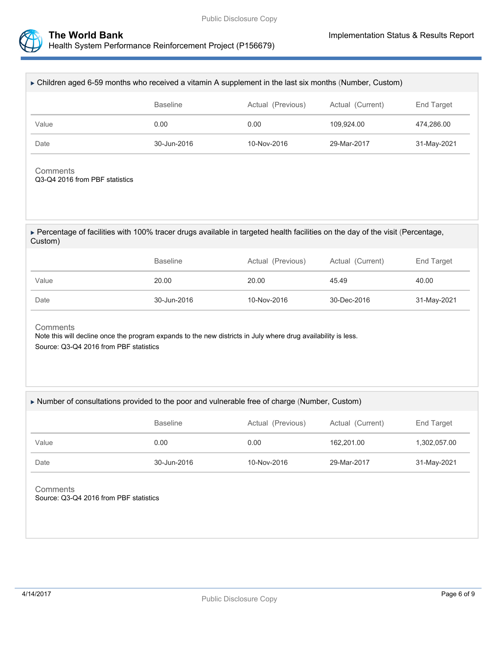

| ► Children aged 6-59 months who received a vitamin A supplement in the last six months (Number, Custom)                                                             |                 |                                       |                  |              |  |  |  |
|---------------------------------------------------------------------------------------------------------------------------------------------------------------------|-----------------|---------------------------------------|------------------|--------------|--|--|--|
|                                                                                                                                                                     | <b>Baseline</b> | Actual (Previous)<br>Actual (Current) |                  | End Target   |  |  |  |
| Value                                                                                                                                                               | 0.00            | 0.00                                  | 109,924.00       | 474,286.00   |  |  |  |
| Date                                                                                                                                                                | 30-Jun-2016     | 10-Nov-2016                           | 29-Mar-2017      | 31-May-2021  |  |  |  |
| Comments<br>Q3-Q4 2016 from PBF statistics                                                                                                                          |                 |                                       |                  |              |  |  |  |
| ► Percentage of facilities with 100% tracer drugs available in targeted health facilities on the day of the visit (Percentage,<br>Custom)                           |                 |                                       |                  |              |  |  |  |
|                                                                                                                                                                     | <b>Baseline</b> | Actual (Previous)                     | Actual (Current) | End Target   |  |  |  |
| Value                                                                                                                                                               | 20.00           | 20.00                                 | 45.49            | 40.00        |  |  |  |
| Date                                                                                                                                                                | 30-Jun-2016     | 10-Nov-2016<br>30-Dec-2016            |                  | 31-May-2021  |  |  |  |
| Comments<br>Note this will decline once the program expands to the new districts in July where drug availability is less.<br>Source: Q3-Q4 2016 from PBF statistics |                 |                                       |                  |              |  |  |  |
| Number of consultations provided to the poor and vulnerable free of charge (Number, Custom)                                                                         |                 |                                       |                  |              |  |  |  |
|                                                                                                                                                                     | <b>Baseline</b> | Actual (Previous)                     | Actual (Current) | End Target   |  |  |  |
| Value                                                                                                                                                               | 0.00            | 0.00                                  | 162,201.00       | 1,302,057.00 |  |  |  |
| Date                                                                                                                                                                | 30-Jun-2016     | 10-Nov-2016                           | 29-Mar-2017      | 31-May-2021  |  |  |  |
| Comments<br>Source: Q3-Q4 2016 from PBF statistics                                                                                                                  |                 |                                       |                  |              |  |  |  |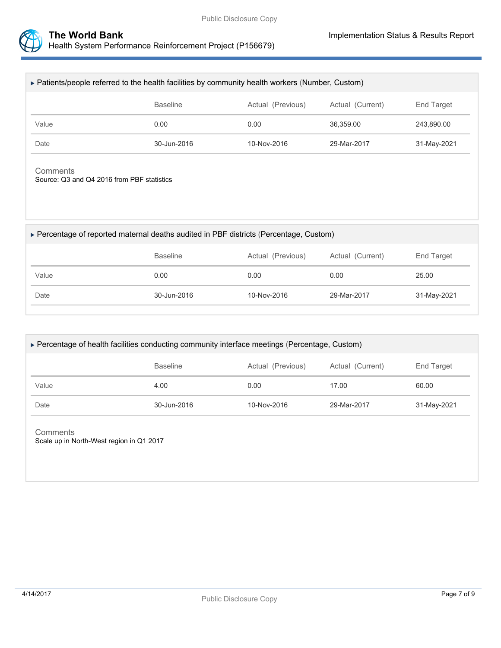

| ► Patients/people referred to the health facilities by community health workers (Number, Custom) |                                      |             |                  |             |  |  |  |
|--------------------------------------------------------------------------------------------------|--------------------------------------|-------------|------------------|-------------|--|--|--|
|                                                                                                  | <b>Baseline</b><br>Actual (Previous) |             | Actual (Current) | End Target  |  |  |  |
| Value                                                                                            | 0.00                                 | 0.00        | 36,359.00        | 243,890.00  |  |  |  |
| Date                                                                                             | 30-Jun-2016                          | 10-Nov-2016 | 29-Mar-2017      | 31-May-2021 |  |  |  |
| Comments<br>Source: Q3 and Q4 2016 from PBF statistics                                           |                                      |             |                  |             |  |  |  |
| ▶ Percentage of reported maternal deaths audited in PBF districts (Percentage, Custom)           |                                      |             |                  |             |  |  |  |
| <b>Baseline</b><br>Actual (Current)<br>End Target<br>Actual (Previous)                           |                                      |             |                  |             |  |  |  |
| Value                                                                                            | 0.00                                 | 0.00        | 0.00             | 25.00       |  |  |  |
| Date                                                                                             | 30-Jun-2016                          | 29-Mar-2017 | 31-May-2021      |             |  |  |  |

| ► Percentage of health facilities conducting community interface meetings (Percentage, Custom) |                                                          |             |             |             |  |  |  |
|------------------------------------------------------------------------------------------------|----------------------------------------------------------|-------------|-------------|-------------|--|--|--|
|                                                                                                | Actual (Current)<br><b>Baseline</b><br>Actual (Previous) |             |             |             |  |  |  |
| Value                                                                                          | 4.00                                                     | 0.00        | 17.00       | 60.00       |  |  |  |
| Date                                                                                           | 30-Jun-2016                                              | 10-Nov-2016 | 29-Mar-2017 | 31-May-2021 |  |  |  |
|                                                                                                |                                                          |             |             |             |  |  |  |

#### **Comments** Scale up in North-West region in Q1 2017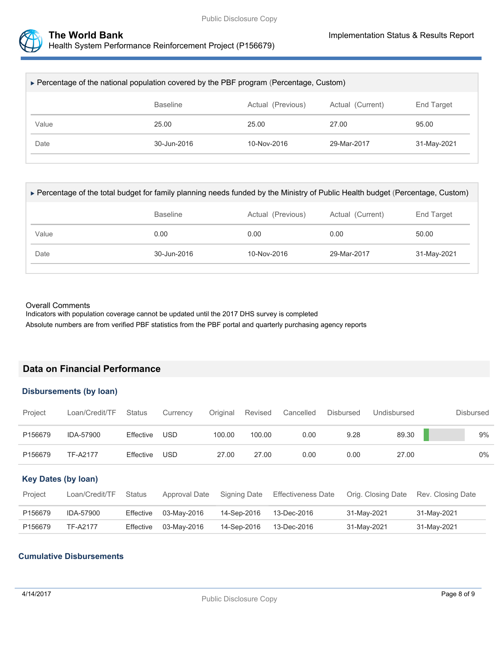

| ► Percentage of the national population covered by the PBF program (Percentage, Custom) |       |       |       |       |  |  |  |
|-----------------------------------------------------------------------------------------|-------|-------|-------|-------|--|--|--|
| <b>Baseline</b><br>Actual (Current)<br>Actual (Previous)<br>End Target                  |       |       |       |       |  |  |  |
| Value                                                                                   | 25.00 | 25.00 | 27.00 | 95.00 |  |  |  |
| Date<br>30-Jun-2016<br>$10-Nov-2016$<br>29-Mar-2017<br>31-May-2021                      |       |       |       |       |  |  |  |

| ► Percentage of the total budget for family planning needs funded by the Ministry of Public Health budget (Percentage, Custom) |                 |                   |                  |                   |  |  |
|--------------------------------------------------------------------------------------------------------------------------------|-----------------|-------------------|------------------|-------------------|--|--|
|                                                                                                                                | <b>Baseline</b> | Actual (Previous) | Actual (Current) | <b>End Target</b> |  |  |
| Value                                                                                                                          | 0.00            | 0.00              | 0.00             | 50.00             |  |  |
| Date                                                                                                                           | 30-Jun-2016     | 10-Nov-2016       | 29-Mar-2017      | 31-May-2021       |  |  |
|                                                                                                                                |                 |                   |                  |                   |  |  |

#### Overall Comments

Indicators with population coverage cannot be updated until the 2017 DHS survey is completed Absolute numbers are from verified PBF statistics from the PBF portal and quarterly purchasing agency reports

## **Data on Financial Performance**

### **Disbursements (by loan)**

| Project                    | Loan/Credit/TF  | <b>Status</b> | Currency      | Original | Revised      | Cancelled                 | <b>Disbursed</b> | Undisbursed        | <b>Disbursed</b>  |
|----------------------------|-----------------|---------------|---------------|----------|--------------|---------------------------|------------------|--------------------|-------------------|
| P156679                    | IDA-57900       | Effective     | <b>USD</b>    | 100.00   | 100.00       | 0.00                      | 9.28             | 89.30              | 9%                |
| P156679                    | <b>TF-A2177</b> | Effective     | USD           | 27.00    | 27.00        | 0.00                      | 0.00             | 27.00              | $0\%$             |
| <b>Key Dates (by loan)</b> |                 |               |               |          |              |                           |                  |                    |                   |
| Project                    | Loan/Credit/TF  | <b>Status</b> | Approval Date |          | Signing Date | <b>Effectiveness Date</b> |                  | Orig. Closing Date | Rev. Closing Date |
| P156679                    | IDA-57900       | Effective     | 03-May-2016   |          | 14-Sep-2016  | 13-Dec-2016               |                  | 31-May-2021        | 31-May-2021       |
| P156679                    | <b>TF-A2177</b> | Effective     | 03-May-2016   |          | 14-Sep-2016  | 13-Dec-2016               |                  | 31-May-2021        | 31-May-2021       |

### **Cumulative Disbursements**